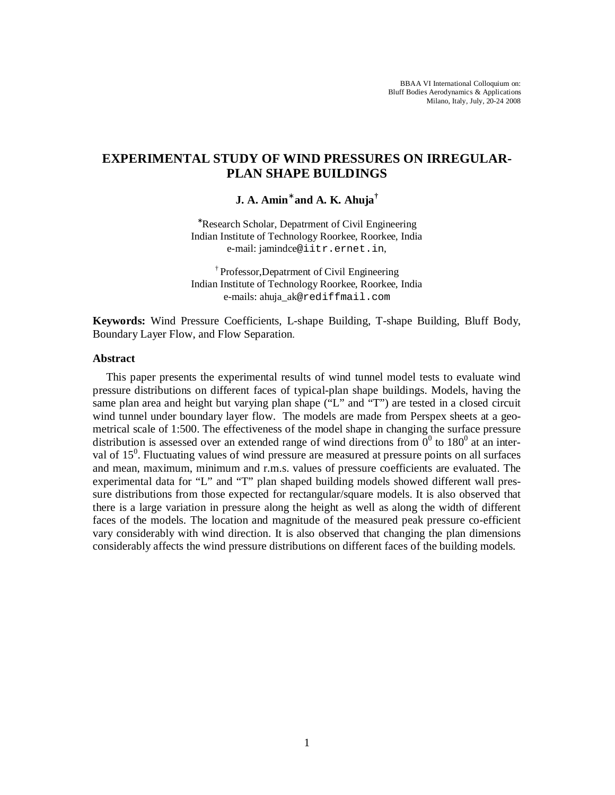# **EXPERIMENTAL STUDY OF WIND PRESSURES ON IRREGULAR-PLAN SHAPE BUILDINGS**

**J. A. Amin**<sup>∗</sup>  **and A. K. Ahuja†**

<sup>∗</sup>Research Scholar, Depatrment of Civil Engineering Indian Institute of Technology Roorkee, Roorkee, India e-mail: jamindce@iitr.ernet.in,

† Professor,Depatrment of Civil Engineering Indian Institute of Technology Roorkee, Roorkee, India e-mails: ahuja\_ak@rediffmail.com

**Keywords:** Wind Pressure Coefficients, L-shape Building, T-shape Building, Bluff Body, Boundary Layer Flow, and Flow Separation.

# **Abstract**

This paper presents the experimental results of wind tunnel model tests to evaluate wind pressure distributions on different faces of typical-plan shape buildings. Models, having the same plan area and height but varying plan shape ("L" and "T") are tested in a closed circuit wind tunnel under boundary layer flow. The models are made from Perspex sheets at a geometrical scale of 1:500. The effectiveness of the model shape in changing the surface pressure distribution is assessed over an extended range of wind directions from  $0^0$  to 180<sup>0</sup> at an interval of 15<sup>0</sup>. Fluctuating values of wind pressure are measured at pressure points on all surfaces and mean, maximum, minimum and r.m.s. values of pressure coefficients are evaluated. The experimental data for "L" and "T" plan shaped building models showed different wall pressure distributions from those expected for rectangular/square models. It is also observed that there is a large variation in pressure along the height as well as along the width of different faces of the models. The location and magnitude of the measured peak pressure co-efficient vary considerably with wind direction. It is also observed that changing the plan dimensions considerably affects the wind pressure distributions on different faces of the building models.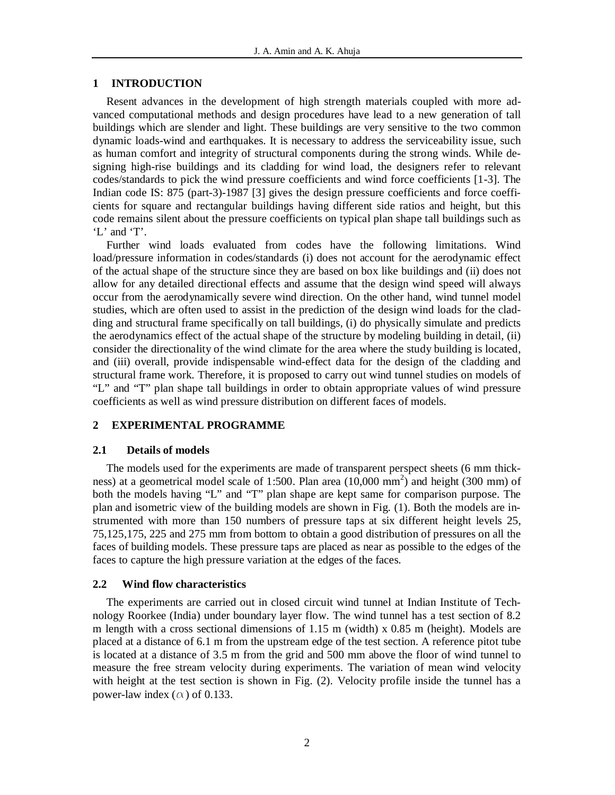### **1 INTRODUCTION**

 Resent advances in the development of high strength materials coupled with more advanced computational methods and design procedures have lead to a new generation of tall buildings which are slender and light. These buildings are very sensitive to the two common dynamic loads-wind and earthquakes. It is necessary to address the serviceability issue, such as human comfort and integrity of structural components during the strong winds. While designing high-rise buildings and its cladding for wind load, the designers refer to relevant codes/standards to pick the wind pressure coefficients and wind force coefficients [1-3]. The Indian code IS: 875 (part-3)-1987 [3] gives the design pressure coefficients and force coefficients for square and rectangular buildings having different side ratios and height, but this code remains silent about the pressure coefficients on typical plan shape tall buildings such as 'L' and 'T'.

 Further wind loads evaluated from codes have the following limitations. Wind load/pressure information in codes/standards (i) does not account for the aerodynamic effect of the actual shape of the structure since they are based on box like buildings and (ii) does not allow for any detailed directional effects and assume that the design wind speed will always occur from the aerodynamically severe wind direction. On the other hand, wind tunnel model studies, which are often used to assist in the prediction of the design wind loads for the cladding and structural frame specifically on tall buildings, (i) do physically simulate and predicts the aerodynamics effect of the actual shape of the structure by modeling building in detail, (ii) consider the directionality of the wind climate for the area where the study building is located, and (iii) overall, provide indispensable wind-effect data for the design of the cladding and structural frame work. Therefore, it is proposed to carry out wind tunnel studies on models of "L" and "T" plan shape tall buildings in order to obtain appropriate values of wind pressure coefficients as well as wind pressure distribution on different faces of models.

# **2 EXPERIMENTAL PROGRAMME**

### **2.1 Details of models**

 The models used for the experiments are made of transparent perspect sheets (6 mm thickness) at a geometrical model scale of 1:500. Plan area  $(10,000 \text{ mm}^2)$  and height  $(300 \text{ mm})$  of both the models having "L" and "T" plan shape are kept same for comparison purpose. The plan and isometric view of the building models are shown in Fig. (1). Both the models are instrumented with more than 150 numbers of pressure taps at six different height levels 25, 75,125,175, 225 and 275 mm from bottom to obtain a good distribution of pressures on all the faces of building models. These pressure taps are placed as near as possible to the edges of the faces to capture the high pressure variation at the edges of the faces.

#### **2.2 Wind flow characteristics**

 The experiments are carried out in closed circuit wind tunnel at Indian Institute of Technology Roorkee (India) under boundary layer flow. The wind tunnel has a test section of 8.2 m length with a cross sectional dimensions of 1.15 m (width) x 0.85 m (height). Models are placed at a distance of 6.1 m from the upstream edge of the test section. A reference pitot tube is located at a distance of 3.5 m from the grid and 500 mm above the floor of wind tunnel to measure the free stream velocity during experiments. The variation of mean wind velocity with height at the test section is shown in Fig. (2). Velocity profile inside the tunnel has a power-law index ( $\alpha$ ) of 0.133.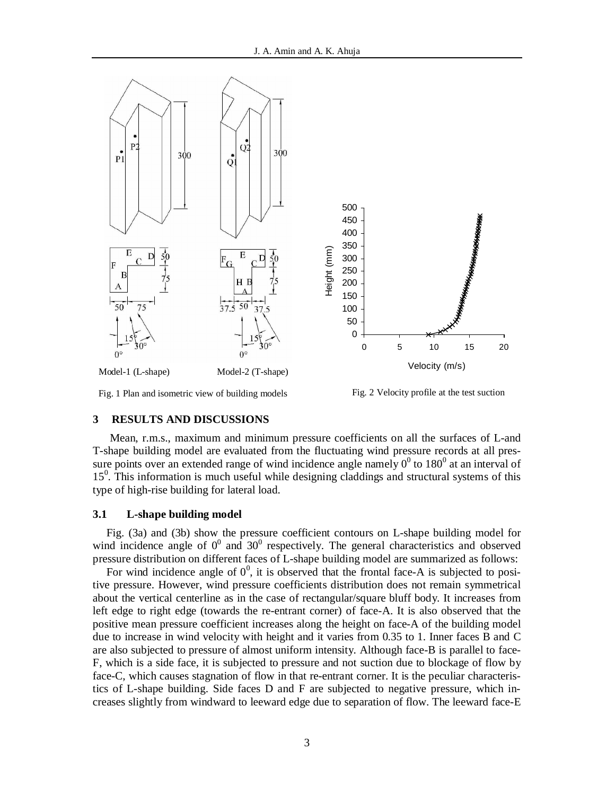

Fig. 1 Plan and isometric view of building models Fig. 2 Velocity profile at the test suction

# **3 RESULTS AND DISCUSSIONS**

Mean, r.m.s., maximum and minimum pressure coefficients on all the surfaces of L-and T-shape building model are evaluated from the fluctuating wind pressure records at all pressure points over an extended range of wind incidence angle namely  $0^0$  to 180<sup>0</sup> at an interval of 15<sup>0</sup>. This information is much useful while designing claddings and structural systems of this type of high-rise building for lateral load.

### **3.1 L-shape building model**

 Fig. (3a) and (3b) show the pressure coefficient contours on L-shape building model for wind incidence angle of  $0^0$  and  $30^0$  respectively. The general characteristics and observed pressure distribution on different faces of L-shape building model are summarized as follows:

For wind incidence angle of  $0^0$ , it is observed that the frontal face-A is subjected to positive pressure. However, wind pressure coefficients distribution does not remain symmetrical about the vertical centerline as in the case of rectangular/square bluff body. It increases from left edge to right edge (towards the re-entrant corner) of face-A. It is also observed that the positive mean pressure coefficient increases along the height on face-A of the building model due to increase in wind velocity with height and it varies from 0.35 to 1. Inner faces B and C are also subjected to pressure of almost uniform intensity. Although face-B is parallel to face-F, which is a side face, it is subjected to pressure and not suction due to blockage of flow by face-C, which causes stagnation of flow in that re-entrant corner. It is the peculiar characteristics of L-shape building. Side faces D and F are subjected to negative pressure, which increases slightly from windward to leeward edge due to separation of flow. The leeward face-E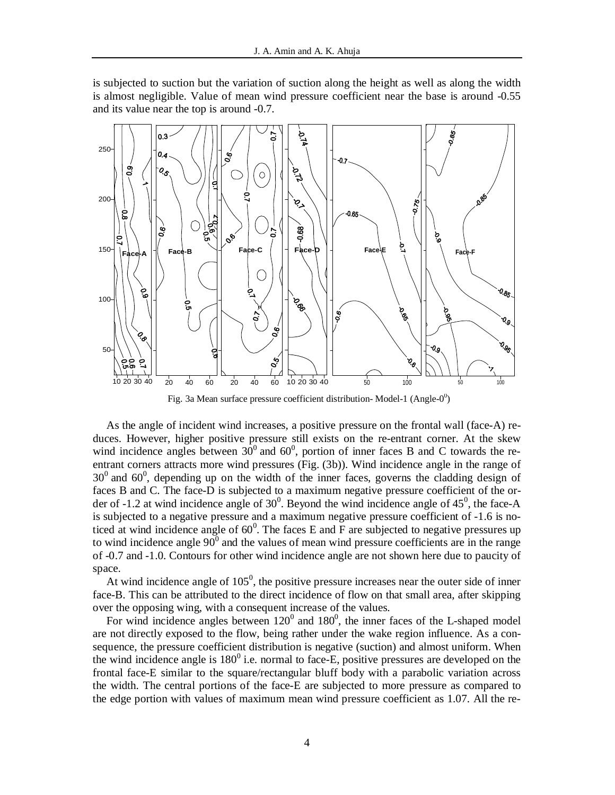is subjected to suction but the variation of suction along the height as well as along the width is almost negligible. Value of mean wind pressure coefficient near the base is around -0.55 and its value near the top is around -0.7.



Fig. 3a Mean surface pressure coefficient distribution-Model-1 (Angle- $0^0$ )

As the angle of incident wind increases, a positive pressure on the frontal wall (face-A) reduces. However, higher positive pressure still exists on the re-entrant corner. At the skew wind incidence angles between  $30^0$  and  $60^0$ , portion of inner faces B and C towards the reentrant corners attracts more wind pressures (Fig. (3b)). Wind incidence angle in the range of  $30<sup>0</sup>$  and  $60<sup>0</sup>$ , depending up on the width of the inner faces, governs the cladding design of faces B and C. The face-D is subjected to a maximum negative pressure coefficient of the order of -1.2 at wind incidence angle of  $30^0$ . Beyond the wind incidence angle of  $45^0$ , the face-A is subjected to a negative pressure and a maximum negative pressure coefficient of -1.6 is noticed at wind incidence angle of  $60^{\circ}$ . The faces E and F are subjected to negative pressures up to wind incidence angle  $90^{\circ}$  and the values of mean wind pressure coefficients are in the range of -0.7 and -1.0. Contours for other wind incidence angle are not shown here due to paucity of space.

At wind incidence angle of  $105<sup>0</sup>$ , the positive pressure increases near the outer side of inner face-B. This can be attributed to the direct incidence of flow on that small area, after skipping over the opposing wing, with a consequent increase of the values.

For wind incidence angles between  $120^0$  and  $180^0$ , the inner faces of the L-shaped model are not directly exposed to the flow, being rather under the wake region influence. As a consequence, the pressure coefficient distribution is negative (suction) and almost uniform. When the wind incidence angle is  $180^{\circ}$  i.e. normal to face-E, positive pressures are developed on the frontal face-E similar to the square/rectangular bluff body with a parabolic variation across the width. The central portions of the face-E are subjected to more pressure as compared to the edge portion with values of maximum mean wind pressure coefficient as 1.07. All the re-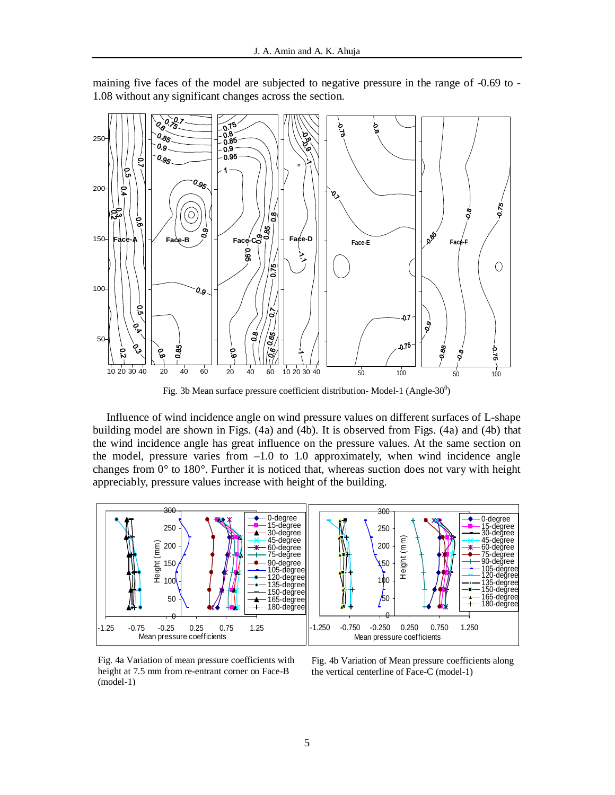

maining five faces of the model are subjected to negative pressure in the range of -0.69 to - 1.08 without any significant changes across the section.

Fig. 3b Mean surface pressure coefficient distribution- Model-1 (Angle-30 $^0$ )

Influence of wind incidence angle on wind pressure values on different surfaces of L-shape building model are shown in Figs. (4a) and (4b). It is observed from Figs. (4a) and (4b) that the wind incidence angle has great influence on the pressure values. At the same section on the model, pressure varies from  $-1.0$  to 1.0 approximately, when wind incidence angle changes from 0° to 180°. Further it is noticed that, whereas suction does not vary with height appreciably, pressure values increase with height of the building.



Fig. 4a Variation of mean pressure coefficients with height at 7.5 mm from re-entrant corner on Face-B (model-1)

Fig. 4b Variation of Mean pressure coefficients along the vertical centerline of Face-C (model-1)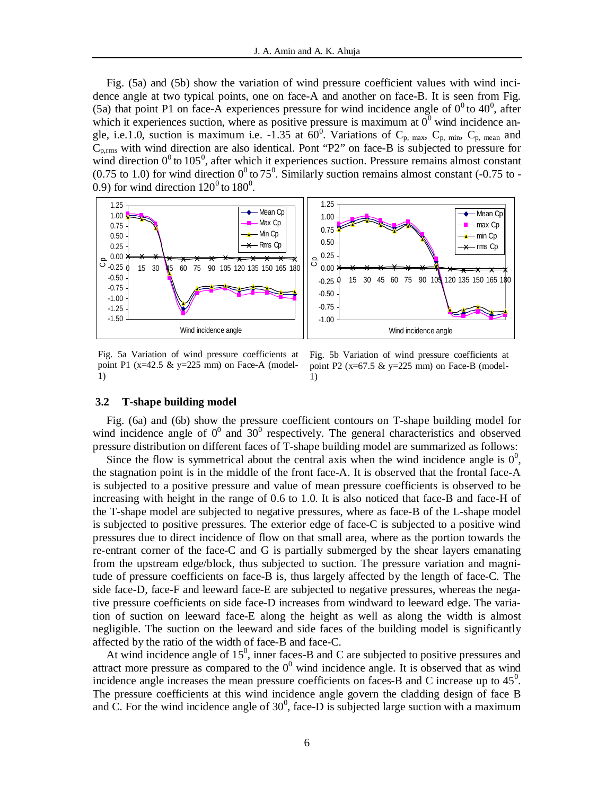Fig. (5a) and (5b) show the variation of wind pressure coefficient values with wind incidence angle at two typical points, one on face-A and another on face-B. It is seen from Fig. (5a) that point P1 on face-A experiences pressure for wind incidence angle of  $0^0$  to  $40^0$ , after which it experiences suction, where as positive pressure is maximum at  $0^0$  wind incidence angle, i.e.1.0, suction is maximum i.e. -1.35 at  $60^0$ . Variations of C<sub>p, max</sub>, C<sub>p, min</sub>, C<sub>p, mean</sub> and Cp,rms with wind direction are also identical. Pont "P2" on face-B is subjected to pressure for wind direction  $0^0$  to  $105^0$ , after which it experiences suction. Pressure remains almost constant (0.75 to 1.0) for wind direction  $0^0$  to 75<sup>0</sup>. Similarly suction remains almost constant (-0.75 to -0.9) for wind direction  $120^0$  to  $180^0$ .



Fig. 5a Variation of wind pressure coefficients at point P1 ( $x=42.5 \& y=225$  mm) on Face-A (model-1)

Fig. 5b Variation of wind pressure coefficients at point P2 ( $x=67.5 \& y=225$  mm) on Face-B (model-1)

#### **3.2 T-shape building model**

 Fig. (6a) and (6b) show the pressure coefficient contours on T-shape building model for wind incidence angle of  $0^0$  and  $30^0$  respectively. The general characteristics and observed pressure distribution on different faces of T-shape building model are summarized as follows:

Since the flow is symmetrical about the central axis when the wind incidence angle is  $0^0$ , the stagnation point is in the middle of the front face-A. It is observed that the frontal face-A is subjected to a positive pressure and value of mean pressure coefficients is observed to be increasing with height in the range of 0.6 to 1.0. It is also noticed that face-B and face-H of the T-shape model are subjected to negative pressures, where as face-B of the L-shape model is subjected to positive pressures. The exterior edge of face-C is subjected to a positive wind pressures due to direct incidence of flow on that small area, where as the portion towards the re-entrant corner of the face-C and G is partially submerged by the shear layers emanating from the upstream edge/block, thus subjected to suction. The pressure variation and magnitude of pressure coefficients on face-B is, thus largely affected by the length of face-C. The side face-D, face-F and leeward face-E are subjected to negative pressures, whereas the negative pressure coefficients on side face-D increases from windward to leeward edge. The variation of suction on leeward face-E along the height as well as along the width is almost negligible. The suction on the leeward and side faces of the building model is significantly affected by the ratio of the width of face-B and face-C.

At wind incidence angle of  $15^0$ , inner faces-B and C are subjected to positive pressures and attract more pressure as compared to the  $0^0$  wind incidence angle. It is observed that as wind incidence angle increases the mean pressure coefficients on faces-B and C increase up to  $45^\circ$ . The pressure coefficients at this wind incidence angle govern the cladding design of face B and C. For the wind incidence angle of  $30^0$ , face-D is subjected large suction with a maximum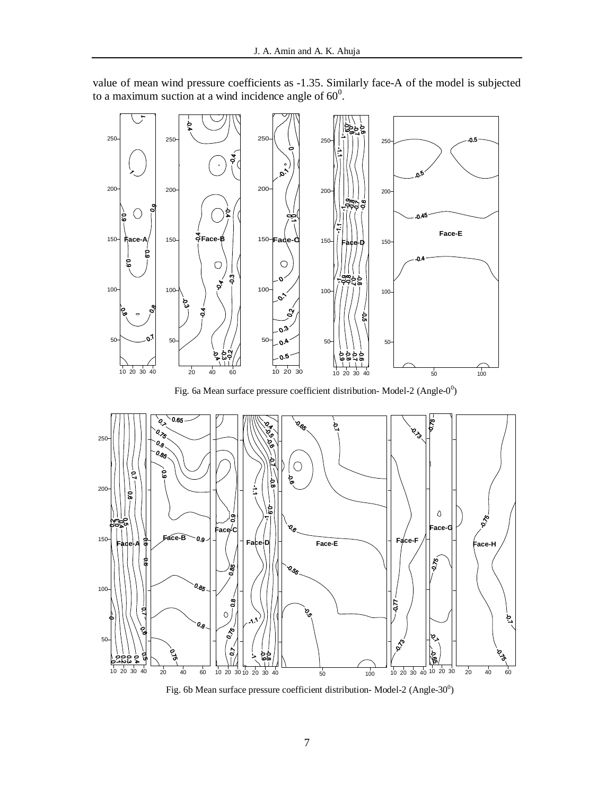



Fig. 6a Mean surface pressure coefficient distribution- Model-2 (Angle- $0^0$ )



Fig. 6b Mean surface pressure coefficient distribution- Model-2 (Angle-30 $^0$ )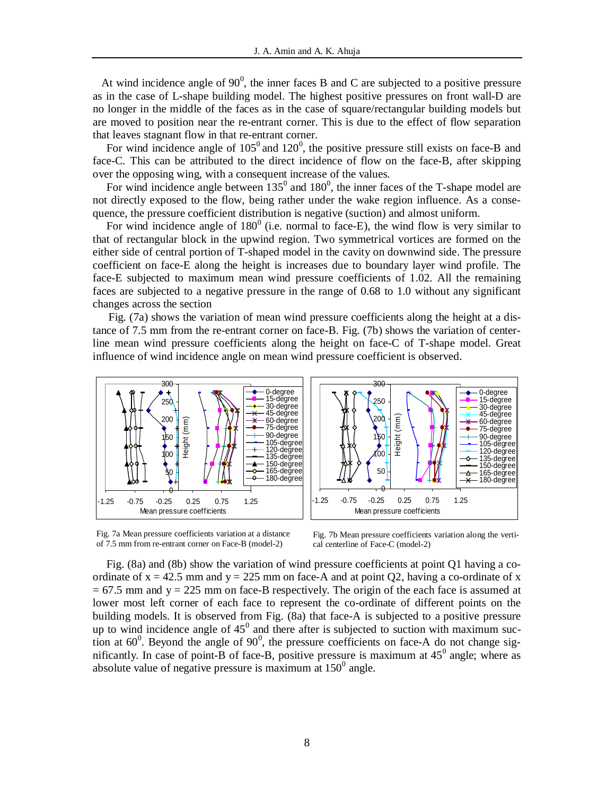At wind incidence angle of  $90^0$ , the inner faces B and C are subjected to a positive pressure as in the case of L-shape building model. The highest positive pressures on front wall-D are no longer in the middle of the faces as in the case of square/rectangular building models but are moved to position near the re-entrant corner. This is due to the effect of flow separation that leaves stagnant flow in that re-entrant corner.

For wind incidence angle of  $105^{\circ}$  and  $120^{\circ}$ , the positive pressure still exists on face-B and face-C. This can be attributed to the direct incidence of flow on the face-B, after skipping over the opposing wing, with a consequent increase of the values.

For wind incidence angle between  $135^{\circ}$  and  $180^{\circ}$ , the inner faces of the T-shape model are not directly exposed to the flow, being rather under the wake region influence. As a consequence, the pressure coefficient distribution is negative (suction) and almost uniform.

For wind incidence angle of  $180^{\circ}$  (i.e. normal to face-E), the wind flow is very similar to that of rectangular block in the upwind region. Two symmetrical vortices are formed on the either side of central portion of T-shaped model in the cavity on downwind side. The pressure coefficient on face-E along the height is increases due to boundary layer wind profile. The face-E subjected to maximum mean wind pressure coefficients of 1.02. All the remaining faces are subjected to a negative pressure in the range of 0.68 to 1.0 without any significant changes across the section

Fig. (7a) shows the variation of mean wind pressure coefficients along the height at a distance of 7.5 mm from the re-entrant corner on face-B. Fig. (7b) shows the variation of centerline mean wind pressure coefficients along the height on face-C of T-shape model. Great influence of wind incidence angle on mean wind pressure coefficient is observed.



Fig. 7a Mean pressure coefficients variation at a distance of 7.5 mm from re-entrant corner on Face-B (model-2)



Fig. 7b Mean pressure coefficients variation along the vertical centerline of Face-C (model-2)

Fig. (8a) and (8b) show the variation of wind pressure coefficients at point Q1 having a coordinate of  $x = 42.5$  mm and  $y = 225$  mm on face-A and at point Q2, having a co-ordinate of x  $= 67.5$  mm and y  $= 225$  mm on face-B respectively. The origin of the each face is assumed at lower most left corner of each face to represent the co-ordinate of different points on the building models. It is observed from Fig. (8a) that face-A is subjected to a positive pressure up to wind incidence angle of  $45^{\circ}$  and there after is subjected to suction with maximum suction at  $60^{\circ}$ . Beyond the angle of  $90^{\circ}$ , the pressure coefficients on face-A do not change significantly. In case of point-B of face-B, positive pressure is maximum at  $45^\circ$  angle; where as absolute value of negative pressure is maximum at  $150^{\circ}$  angle.